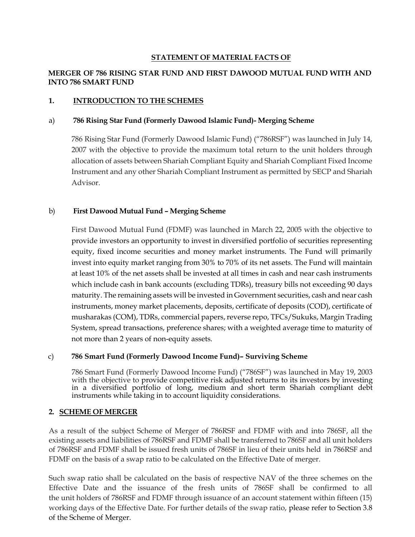# STATEMENT OF MATERIAL FACTS OF

# MERGER OF 786 RISING STAR FUND AND FIRST DAWOOD MUTUAL FUND WITH AND INTO 786 SMART FUND

# 1. INTRODUCTION TO THE SCHEMES

### a) 786 Rising Star Fund (Formerly Dawood Islamic Fund)- Merging Scheme

786 Rising Star Fund (Formerly Dawood Islamic Fund) ("786RSF") was launched in July 14, 2007 with the objective to provide the maximum total return to the unit holders through allocation of assets between Shariah Compliant Equity and Shariah Compliant Fixed Income Instrument and any other Shariah Compliant Instrument as permitted by SECP and Shariah Advisor.

# b) First Dawood Mutual Fund – Merging Scheme

First Dawood Mutual Fund (FDMF) was launched in March 22, 2005 with the objective to provide investors an opportunity to invest in diversified portfolio of securities representing equity, fixed income securities and money market instruments. The Fund will primarily invest into equity market ranging from 30% to 70% of its net assets. The Fund will maintain at least 10% of the net assets shall be invested at all times in cash and near cash instruments which include cash in bank accounts (excluding TDRs), treasury bills not exceeding 90 days maturity. The remaining assets will be invested in Government securities, cash and near cash instruments, money market placements, deposits, certificate of deposits (COD), certificate of musharakas (COM), TDRs, commercial papers, reverse repo, TFCs/Sukuks, Margin Trading System, spread transactions, preference shares; with a weighted average time to maturity of not more than 2 years of non-equity assets.

# c) 786 Smart Fund (Formerly Dawood Income Fund)– Surviving Scheme

786 Smart Fund (Formerly Dawood Income Fund) ("786SF") was launched in May 19, 2003 with the objective to provide competitive risk adjusted returns to its investors by investing in a diversified portfolio of long, medium and short term Shariah compliant debt instruments while taking in to account liquidity considerations.

# 2. SCHEME OF MERGER

As a result of the subject Scheme of Merger of 786RSF and FDMF with and into 786SF, all the existing assets and liabilities of 786RSF and FDMF shall be transferred to 786SF and all unit holders of 786RSF and FDMF shall be issued fresh units of 786SF in lieu of their units held in 786RSF and FDMF on the basis of a swap ratio to be calculated on the Effective Date of merger.

Such swap ratio shall be calculated on the basis of respective NAV of the three schemes on the Effective Date and the issuance of the fresh units of 786SF shall be confirmed to all the unit holders of 786RSF and FDMF through issuance of an account statement within fifteen (15) working days of the Effective Date. For further details of the swap ratio, please refer to Section 3.8 of the Scheme of Merger.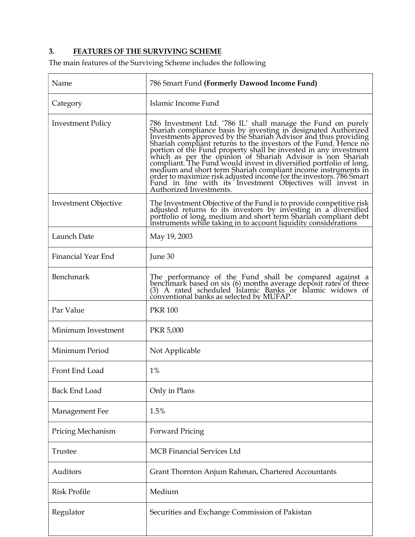# 3. FEATURES OF THE SURVIVING SCHEME

The main features of the Surviving Scheme includes the following

| Name                        | 786 Smart Fund (Formerly Dawood Income Fund)                                                                                                                                                                                                                                                                                                                                                                                                                                                                                                                                                                                                                                                               |
|-----------------------------|------------------------------------------------------------------------------------------------------------------------------------------------------------------------------------------------------------------------------------------------------------------------------------------------------------------------------------------------------------------------------------------------------------------------------------------------------------------------------------------------------------------------------------------------------------------------------------------------------------------------------------------------------------------------------------------------------------|
| Category                    | Islamic Income Fund                                                                                                                                                                                                                                                                                                                                                                                                                                                                                                                                                                                                                                                                                        |
| <b>Investment Policy</b>    | 786 Investment Ltd. '786 IL' shall manage the Fund on purely<br>Shariah compliance basis by investing in designated Authorized<br>Investments approved by the Shariah Advisor and thus providing<br>Shariah compliant returns to the investors of the Fund. Hence no<br>portion of the Fund property shall be invested in any investment<br>which as per the opinion of Shariah Advisor is non Shariah compliant. The Fund would invest in diversified portfolio of long,<br>medium and short term Shariah compliant income instruments in<br>order to maximize risk adjusted income for the investors. 786 Smart<br>Fund in line with its Investment Objectives will invest in<br>Authorized Investments. |
| <b>Investment Objective</b> | The Investment Objective of the Fund is to provide competitive risk<br>adjusted returns to its investors by investing in a diversified portfolio of long, medium and short term Shariah compliant debt<br>instruments while taking in to account liquidity considerations                                                                                                                                                                                                                                                                                                                                                                                                                                  |
| Launch Date                 | May 19, 2003                                                                                                                                                                                                                                                                                                                                                                                                                                                                                                                                                                                                                                                                                               |
| Financial Year End          | June 30                                                                                                                                                                                                                                                                                                                                                                                                                                                                                                                                                                                                                                                                                                    |
| <b>Benchmark</b>            | The performance of the Fund shall be compared against a<br>benchmark based on six (6) months average deposit rates of three (3) A rated scheduled Islamic Banks or Islamic widows of<br>conventional banks as selected by MUFAP.                                                                                                                                                                                                                                                                                                                                                                                                                                                                           |
| Par Value                   | <b>PKR 100</b>                                                                                                                                                                                                                                                                                                                                                                                                                                                                                                                                                                                                                                                                                             |
| Minimum Investment          | <b>PKR 5,000</b>                                                                                                                                                                                                                                                                                                                                                                                                                                                                                                                                                                                                                                                                                           |
| Minimum Period              | Not Applicable                                                                                                                                                                                                                                                                                                                                                                                                                                                                                                                                                                                                                                                                                             |
| Front End Load              | $1\%$                                                                                                                                                                                                                                                                                                                                                                                                                                                                                                                                                                                                                                                                                                      |
| <b>Back End Load</b>        | Only in Plans                                                                                                                                                                                                                                                                                                                                                                                                                                                                                                                                                                                                                                                                                              |
| Management Fee              | 1.5%                                                                                                                                                                                                                                                                                                                                                                                                                                                                                                                                                                                                                                                                                                       |
| Pricing Mechanism           | <b>Forward Pricing</b>                                                                                                                                                                                                                                                                                                                                                                                                                                                                                                                                                                                                                                                                                     |
| Trustee                     | <b>MCB</b> Financial Services Ltd                                                                                                                                                                                                                                                                                                                                                                                                                                                                                                                                                                                                                                                                          |
| Auditors                    | Grant Thornton Anjum Rahman, Chartered Accountants                                                                                                                                                                                                                                                                                                                                                                                                                                                                                                                                                                                                                                                         |
| <b>Risk Profile</b>         | Medium                                                                                                                                                                                                                                                                                                                                                                                                                                                                                                                                                                                                                                                                                                     |
| Regulator                   | Securities and Exchange Commission of Pakistan                                                                                                                                                                                                                                                                                                                                                                                                                                                                                                                                                                                                                                                             |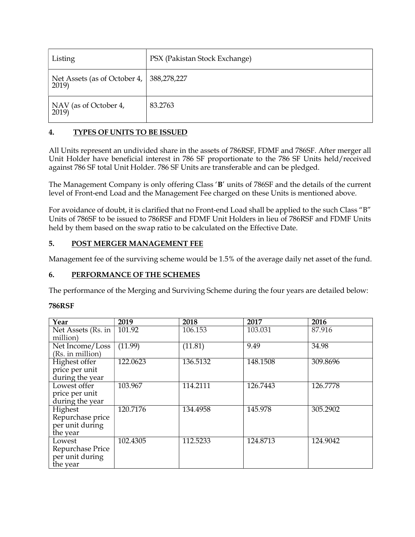| Listing                            | PSX (Pakistan Stock Exchange) |
|------------------------------------|-------------------------------|
| Net Assets (as of October 4, 2019) | 388,278,227                   |
| NAV (as of October 4,<br>2019)     | 83.2763                       |

# 4. TYPES OF UNITS TO BE ISSUED

All Units represent an undivided share in the assets of 786RSF, FDMF and 786SF. After merger all Unit Holder have beneficial interest in 786 SF proportionate to the 786 SF Units held/received against 786 SF total Unit Holder. 786 SF Units are transferable and can be pledged.

The Management Company is only offering Class 'B' units of 786SF and the details of the current level of Front-end Load and the Management Fee charged on these Units is mentioned above.

For avoidance of doubt, it is clarified that no Front-end Load shall be applied to the such Class "B" Units of 786SF to be issued to 786RSF and FDMF Unit Holders in lieu of 786RSF and FDMF Units held by them based on the swap ratio to be calculated on the Effective Date.

# 5. POST MERGER MANAGEMENT FEE

Management fee of the surviving scheme would be 1.5% of the average daily net asset of the fund.

# 6. PERFORMANCE OF THE SCHEMES

The performance of the Merging and Surviving Scheme during the four years are detailed below:

| Year                                                       | 2019     | 2018     | 2017     | 2016     |
|------------------------------------------------------------|----------|----------|----------|----------|
| Net Assets (Rs. in<br>million)                             | 101.92   | 106.153  | 103.031  | 87.916   |
| Net Income/Loss<br>(Rs. in million)                        | (11.99)  | (11.81)  | 9.49     | 34.98    |
| Highest offer<br>price per unit<br>during the year         | 122.0623 | 136.5132 | 148.1508 | 309.8696 |
| Lowest offer<br>price per unit<br>during the year          | 103.967  | 114.2111 | 126.7443 | 126.7778 |
| Highest<br>Repurchase price<br>per unit during<br>the year | 120.7176 | 134.4958 | 145.978  | 305.2902 |
| Lowest<br>Repurchase Price<br>per unit during<br>the year  | 102.4305 | 112.5233 | 124.8713 | 124.9042 |

# 786RSF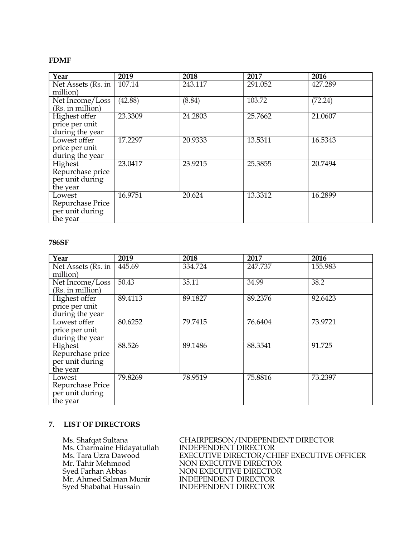### FDMF

| Year                                                       | 2019    | 2018    | 2017    | 2016    |
|------------------------------------------------------------|---------|---------|---------|---------|
| Net Assets (Rs. in $\vert$<br>million)                     | 107.14  | 243.117 | 291.052 | 427.289 |
| Net Income/Loss<br>(Rs. in million)                        | (42.88) | (8.84)  | 103.72  | (72.24) |
| Highest offer<br>price per unit<br>during the year         | 23.3309 | 24.2803 | 25.7662 | 21.0607 |
| Lowest offer<br>price per unit<br>during the year          | 17.2297 | 20.9333 | 13.5311 | 16.5343 |
| Highest<br>Repurchase price<br>per unit during<br>the year | 23.0417 | 23.9215 | 25.3855 | 20.7494 |
| Lowest<br>Repurchase Price<br>per unit during<br>the year  | 16.9751 | 20.624  | 13.3312 | 16.2899 |

### 786SF

| Year                                                       | 2019    | 2018    | 2017    | 2016    |
|------------------------------------------------------------|---------|---------|---------|---------|
| Net Assets (Rs. in<br>million)                             | 445.69  | 334.724 | 247.737 | 155.983 |
| Net Income/Loss<br>(Rs. in million)                        | 50.43   | 35.11   | 34.99   | 38.2    |
| Highest offer<br>price per unit<br>during the year         | 89.4113 | 89.1827 | 89.2376 | 92.6423 |
| Lowest offer<br>price per unit<br>during the year          | 80.6252 | 79.7415 | 76.6404 | 73.9721 |
| Highest<br>Repurchase price<br>per unit during<br>the year | 88.526  | 89.1486 | 88.3541 | 91.725  |
| Lowest<br>Repurchase Price<br>per unit during<br>the year  | 79.8269 | 78.9519 | 75.8816 | 73.2397 |

### 7. LIST OF DIRECTORS

Ms. Charmaine Hidayatullah<br>Ms. Tara Uzra Dawood Syed Shabahat Hussain INDEPENDENT DIRECTOR

 Ms. Shafqat Sultana CHAIRPERSON/INDEPENDENT DIRECTOR Ms. Tara Uzra Dawood EXECUTIVE DIRECTOR/CHIEF EXECUTIVE OFFICER<br>Mr. Tahir Mehmood NON EXECUTIVE DIRECTOR Mr. Tahir Mehmood NON EXECUTIVE DIRECTOR<br>Syed Farhan Abbas NON EXECUTIVE DIRECTOR NON EXECUTIVE DIRECTOR<br>INDEPENDENT DIRECTOR Mr. Ahmed Salman Munir INDEPENDENT DIRECTOR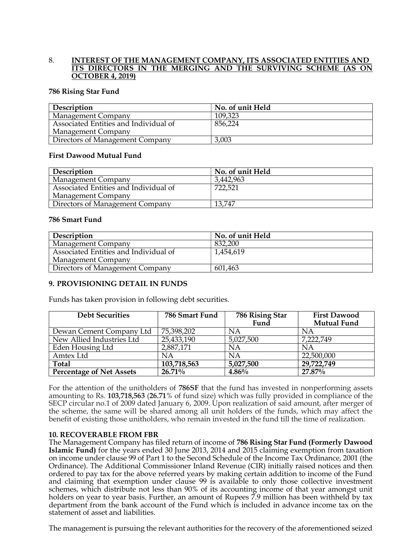#### 8. INTEREST OF THE MANAGEMENT COMPANY, ITS ASSOCIATED ENTITIES AND ITS DIRECTORS IN THE MERGING AND THE SURVIVING SCHEME (AS ON OCTOBER 4, 2019)

#### 786 Rising Star Fund

| Description                           | No. of unit Held |
|---------------------------------------|------------------|
| <b>Management Company</b>             | 109,323          |
| Associated Entities and Individual of | 856,224          |
| Management Company                    |                  |
| Directors of Management Company       | 3,003            |

### First Dawood Mutual Fund

| Description                           | No. of unit Held |
|---------------------------------------|------------------|
| <b>Management Company</b>             | 3,442,963        |
| Associated Entities and Individual of | 722,521          |
| Management Company                    |                  |
| Directors of Management Company       | 13,747           |

### 786 Smart Fund

| Description                           | No. of unit Held |
|---------------------------------------|------------------|
| Management Company                    | 832,200          |
| Associated Entities and Individual of | 1,454,619        |
| Management Company                    |                  |
| Directors of Management Company       | 601,463          |

### 9. PROVISIONING DETAIL IN FUNDS

Funds has taken provision in following debt securities.

| <b>Debt Securities</b>          | 786 Smart Fund | 786 Rising Star | <b>First Dawood</b> |
|---------------------------------|----------------|-----------------|---------------------|
|                                 |                | Fund            | <b>Mutual Fund</b>  |
| Dewan Cement Company Ltd        | 75,398,202     | ΝA              | ΝA                  |
| New Allied Industries Ltd       | 25,433,190     | 5,027,500       | 7,222,749           |
| Eden Housing Ltd                | 2,887,171      | NA              | NA                  |
| Amtex Ltd                       | ΝA             | ΝA              | 22,500,000          |
| Total                           | 103,718,563    | 5,027,500       | 29,722,749          |
| <b>Percentage of Net Assets</b> | $26.71\%$      | 4.86%           | 27.87%              |

For the attention of the unitholders of 786SF that the fund has invested in nonperforming assets amounting to Rs. 103,718,563 (26.71% of fund size) which was fully provided in compliance of the SECP circular no.1 of 2009 dated January 6, 2009. Upon realization of said amount, after merger of the scheme, the same will be shared among all unit holders of the funds, which may affect the benefit of existing those unitholders, who remain invested in the fund till the time of realization.

#### 10. RECOVERABLE FROM FBR

The Management Company has filed return of income of 786 Rising Star Fund (Formerly Dawood Islamic Fund) for the years ended 30 June 2013, 2014 and 2015 claiming exemption from taxation on income under clause 99 of Part 1 to the Second Schedule of the Income Tax Ordinance, 2001 (the Ordinance). The Additional Commissioner Inland Revenue (CIR) initially raised notices and then ordered to pay tax for the above referred years by making certain addition to income of the Fund and claiming that exemption under clause 99 is available to only those collective investment schemes, which distribute not less than 90% of its accounting income of that year amongst unit holders on year to year basis. Further, an amount of Rupees 7.9 million has been withheld by tax department from the bank account of the Fund which is included in advance income tax on the statement of asset and liabilities.

The management is pursuing the relevant authorities for the recovery of the aforementioned seized